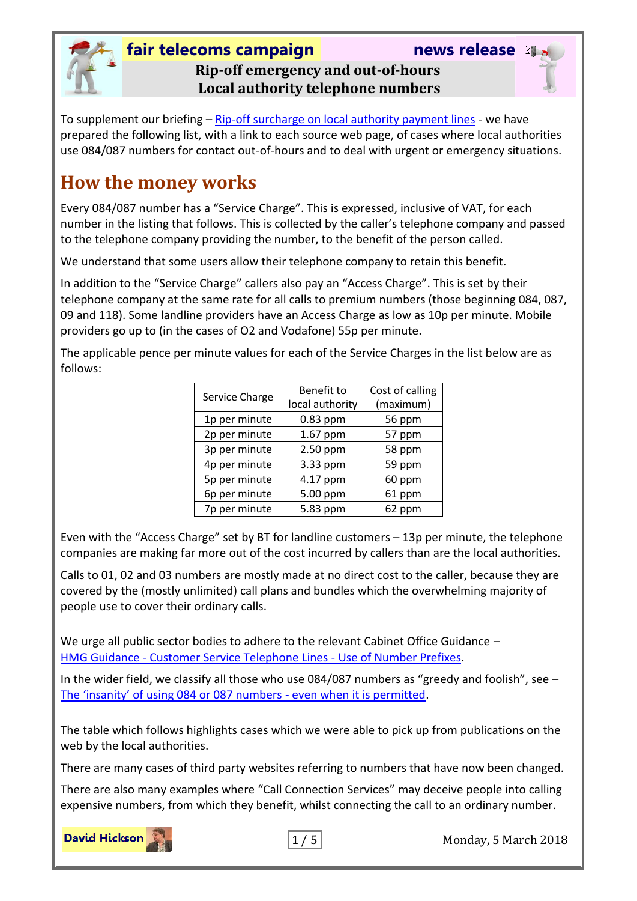

#### **fair telecoms campaign news release Rip-off emergency and out-of-hours Local authority telephone numbers**



To supplement our briefing – [Rip-off surcharge on local authority payment lines](http://www.fairtelecoms.org.uk/docs.html?lapaylines) - we have prepared the following list, with a link to each source web page, of cases where local authorities use 084/087 numbers for contact out-of-hours and to deal with urgent or emergency situations.

## **How the money works**

Every 084/087 number has a "Service Charge". This is expressed, inclusive of VAT, for each number in the listing that follows. This is collected by the caller's telephone company and passed to the telephone company providing the number, to the benefit of the person called.

We understand that some users allow their telephone company to retain this benefit.

In addition to the "Service Charge" callers also pay an "Access Charge". This is set by their telephone company at the same rate for all calls to premium numbers (those beginning 084, 087, 09 and 118). Some landline providers have an Access Charge as low as 10p per minute. Mobile providers go up to (in the cases of O2 and Vodafone) 55p per minute.

The applicable pence per minute values for each of the Service Charges in the list below are as follows:

| Service Charge | Benefit to      | Cost of calling |
|----------------|-----------------|-----------------|
|                | local authority | (maximum)       |
| 1p per minute  | 0.83 ppm        | 56 ppm          |
| 2p per minute  | 1.67 ppm        | 57 ppm          |
| 3p per minute  | 2.50 ppm        | 58 ppm          |
| 4p per minute  | 3.33 ppm        | 59 ppm          |
| 5p per minute  | 4.17 ppm        | 60 ppm          |
| 6p per minute  | 5.00 ppm        | 61 ppm          |
| 7p per minute  | 5.83 ppm        | 62 ppm          |

Even with the "Access Charge" set by BT for landline customers – 13p per minute, the telephone companies are making far more out of the cost incurred by callers than are the local authorities.

Calls to 01, 02 and 03 numbers are mostly made at no direct cost to the caller, because they are covered by the (mostly unlimited) call plans and bundles which the overwhelming majority of people use to cover their ordinary calls.

We urge all public sector bodies to adhere to the relevant Cabinet Office Guidance -HMG Guidance - [Customer Service Telephone Lines -](https://www.gov.uk/government/uploads/system/uploads/attachment_data/file/470411/20151006_Customer_phone_lines_draft_guidance_October_2015.pdf) Use of Number Prefixes.

In the wider field, we classify all those who use 084/087 numbers as "greedy and foolish", see – [The 'insanity' of using 084 or 087 numbers](http://www.fairtelecoms.org.uk/docs.html?insanity) - even when it is permitted.

The table which follows highlights cases which we were able to pick up from publications on the web by the local authorities.

There are many cases of third party websites referring to numbers that have now been changed.

There are also many examples where "Call Connection Services" may deceive people into calling expensive numbers, from which they benefit, whilst connecting the call to an ordinary number.

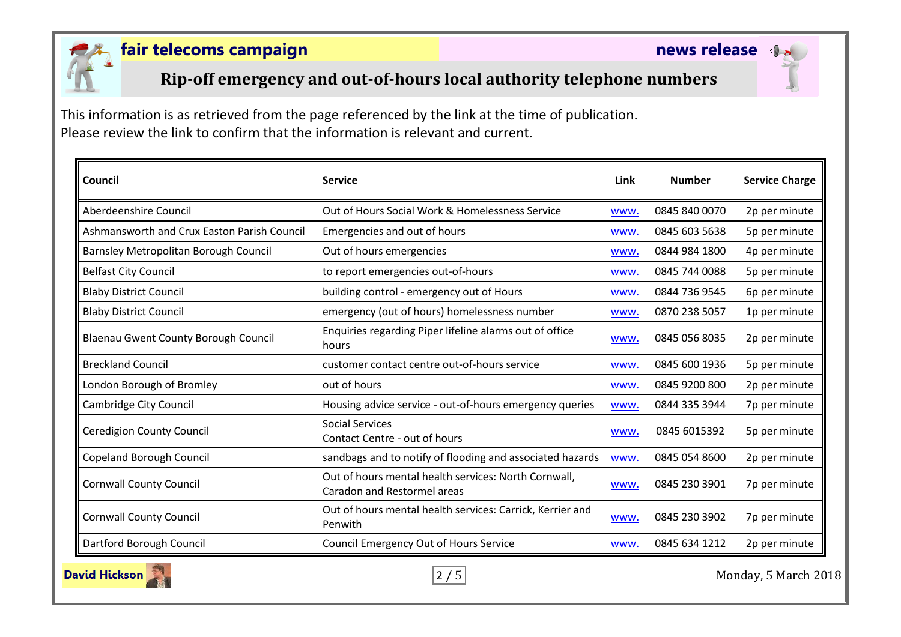

## **Rip-off emergency and out-of-hours local authority telephone numbers**

This information is as retrieved from the page referenced by the link at the time of publication. Please review the link to confirm that the information is relevant and current.

| Council                                     | <b>Service</b>                                                                      | Link       | <b>Number</b> | <b>Service Charge</b> |
|---------------------------------------------|-------------------------------------------------------------------------------------|------------|---------------|-----------------------|
| Aberdeenshire Council                       | Out of Hours Social Work & Homelessness Service                                     | www.       | 0845 840 0070 | 2p per minute         |
| Ashmansworth and Crux Easton Parish Council | Emergencies and out of hours                                                        | www.       | 0845 603 5638 | 5p per minute         |
| Barnsley Metropolitan Borough Council       | Out of hours emergencies                                                            | <b>WWW</b> | 0844 984 1800 | 4p per minute         |
| <b>Belfast City Council</b>                 | to report emergencies out-of-hours                                                  | <b>WWW</b> | 0845 744 0088 | 5p per minute         |
| <b>Blaby District Council</b>               | building control - emergency out of Hours                                           | <b>WWW</b> | 0844 736 9545 | 6p per minute         |
| <b>Blaby District Council</b>               | emergency (out of hours) homelessness number                                        | www.       | 0870 238 5057 | 1p per minute         |
| <b>Blaenau Gwent County Borough Council</b> | Enquiries regarding Piper lifeline alarms out of office<br>hours                    | www.       | 0845 056 8035 | 2p per minute         |
| <b>Breckland Council</b>                    | customer contact centre out-of-hours service                                        | www.       | 0845 600 1936 | 5p per minute         |
| London Borough of Bromley                   | out of hours                                                                        | <b>WWW</b> | 0845 9200 800 | 2p per minute         |
| Cambridge City Council                      | Housing advice service - out-of-hours emergency queries                             | <b>WWW</b> | 0844 335 3944 | 7p per minute         |
| <b>Ceredigion County Council</b>            | <b>Social Services</b><br>Contact Centre - out of hours                             | <b>WWW</b> | 0845 6015392  | 5p per minute         |
| <b>Copeland Borough Council</b>             | sandbags and to notify of flooding and associated hazards                           | <b>WWW</b> | 0845 054 8600 | 2p per minute         |
| <b>Cornwall County Council</b>              | Out of hours mental health services: North Cornwall,<br>Caradon and Restormel areas | <b>WWW</b> | 0845 230 3901 | 7p per minute         |
| <b>Cornwall County Council</b>              | Out of hours mental health services: Carrick, Kerrier and<br>Penwith                | <b>WWW</b> | 0845 230 3902 | 7p per minute         |
| Dartford Borough Council                    | <b>Council Emergency Out of Hours Service</b>                                       | www.       | 0845 634 1212 | 2p per minute         |



2 / 5 Monday, 5 March 2018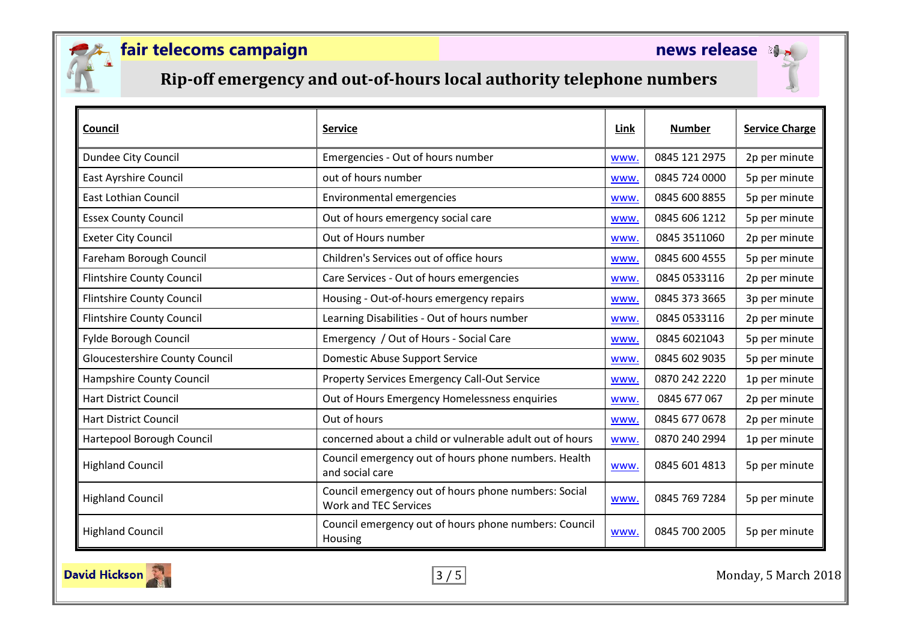

## **Rip-off emergency and out-of-hours local authority telephone numbers**

| Council                               | <b>Service</b>                                                                       | Link       | <b>Number</b> | <b>Service Charge</b> |
|---------------------------------------|--------------------------------------------------------------------------------------|------------|---------------|-----------------------|
| Dundee City Council                   | Emergencies - Out of hours number                                                    | www.       | 0845 121 2975 | 2p per minute         |
| <b>East Ayrshire Council</b>          | out of hours number                                                                  | <b>WWW</b> | 0845 724 0000 | 5p per minute         |
| <b>East Lothian Council</b>           | Environmental emergencies                                                            | www.       | 0845 600 8855 | 5p per minute         |
| <b>Essex County Council</b>           | Out of hours emergency social care                                                   | www.       | 0845 606 1212 | 5p per minute         |
| <b>Exeter City Council</b>            | Out of Hours number                                                                  | www.       | 0845 3511060  | 2p per minute         |
| Fareham Borough Council               | Children's Services out of office hours                                              | www.       | 0845 600 4555 | 5p per minute         |
| <b>Flintshire County Council</b>      | Care Services - Out of hours emergencies                                             | www.       | 0845 0533116  | 2p per minute         |
| <b>Flintshire County Council</b>      | Housing - Out-of-hours emergency repairs                                             | www.       | 0845 373 3665 | 3p per minute         |
| <b>Flintshire County Council</b>      | Learning Disabilities - Out of hours number                                          | www.       | 0845 0533116  | 2p per minute         |
| Fylde Borough Council                 | Emergency / Out of Hours - Social Care                                               | www.       | 0845 6021043  | 5p per minute         |
| <b>Gloucestershire County Council</b> | <b>Domestic Abuse Support Service</b>                                                | WWW.       | 0845 602 9035 | 5p per minute         |
| Hampshire County Council              | <b>Property Services Emergency Call-Out Service</b>                                  | www.       | 0870 242 2220 | 1p per minute         |
| <b>Hart District Council</b>          | Out of Hours Emergency Homelessness enquiries                                        | www.       | 0845 677 067  | 2p per minute         |
| <b>Hart District Council</b>          | Out of hours                                                                         | www.       | 0845 677 0678 | 2p per minute         |
| Hartepool Borough Council             | concerned about a child or vulnerable adult out of hours                             | www.       | 0870 240 2994 | 1p per minute         |
| <b>Highland Council</b>               | Council emergency out of hours phone numbers. Health<br>and social care              | www.       | 0845 601 4813 | 5p per minute         |
| <b>Highland Council</b>               | Council emergency out of hours phone numbers: Social<br><b>Work and TEC Services</b> | www.       | 0845 769 7284 | 5p per minute         |
| <b>Highland Council</b>               | Council emergency out of hours phone numbers: Council<br>Housing                     | www.       | 0845 700 2005 | 5p per minute         |



3 / 5 Monday, 5 March 2018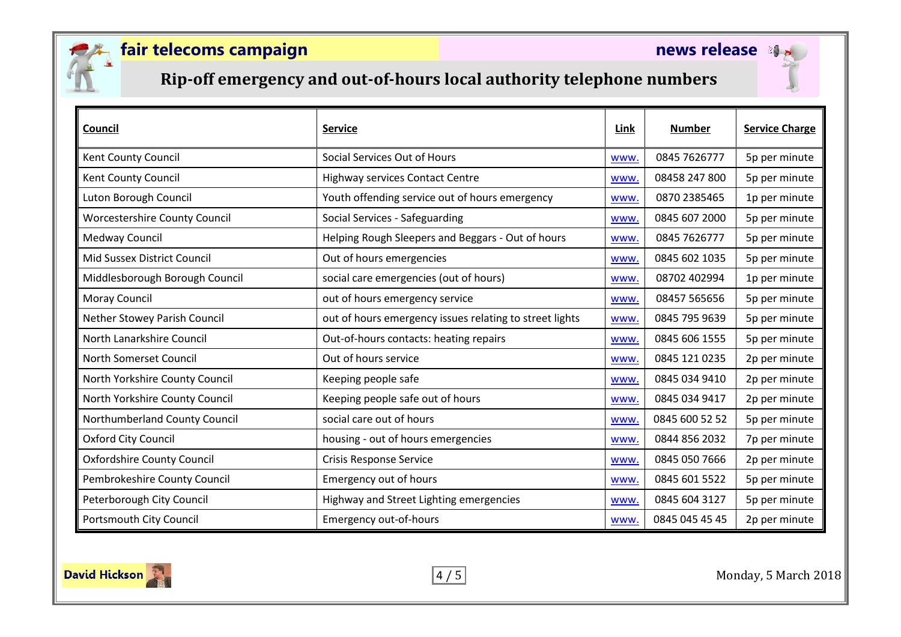

## **Rip-off emergency and out-of-hours local authority telephone numbers**

| Council                           | <b>Service</b>                                          | Link        | <b>Number</b>  | <b>Service Charge</b> |
|-----------------------------------|---------------------------------------------------------|-------------|----------------|-----------------------|
| Kent County Council               | Social Services Out of Hours                            | www.        | 0845 7626777   | 5p per minute         |
| Kent County Council               | <b>Highway services Contact Centre</b>                  | WWW.        | 08458 247 800  | 5p per minute         |
| Luton Borough Council             | Youth offending service out of hours emergency          | www.        | 0870 2385465   | 1p per minute         |
| Worcestershire County Council     | Social Services - Safeguarding                          | WWW.        | 0845 607 2000  | 5p per minute         |
| Medway Council                    | Helping Rough Sleepers and Beggars - Out of hours       | <b>WWW</b>  | 0845 7626777   | 5p per minute         |
| Mid Sussex District Council       | Out of hours emergencies                                | <b>WWW</b>  | 0845 602 1035  | 5p per minute         |
| Middlesborough Borough Council    | social care emergencies (out of hours)                  | www.        | 08702 402994   | 1p per minute         |
| Moray Council                     | out of hours emergency service                          | www.        | 08457 565656   | 5p per minute         |
| Nether Stowey Parish Council      | out of hours emergency issues relating to street lights | WWW.        | 0845 795 9639  | 5p per minute         |
| North Lanarkshire Council         | Out-of-hours contacts: heating repairs                  | www.        | 0845 606 1555  | 5p per minute         |
| North Somerset Council            | Out of hours service                                    | <b>WWW.</b> | 0845 121 0235  | 2p per minute         |
| North Yorkshire County Council    | Keeping people safe                                     | WWW.        | 0845 034 9410  | 2p per minute         |
| North Yorkshire County Council    | Keeping people safe out of hours                        | <b>WWW.</b> | 0845 034 9417  | 2p per minute         |
| Northumberland County Council     | social care out of hours                                | <b>WWW</b>  | 0845 600 52 52 | 5p per minute         |
| Oxford City Council               | housing - out of hours emergencies                      | <b>WWW.</b> | 0844 856 2032  | 7p per minute         |
| <b>Oxfordshire County Council</b> | <b>Crisis Response Service</b>                          | <b>WWW</b>  | 0845 050 7666  | 2p per minute         |
| Pembrokeshire County Council      | <b>Emergency out of hours</b>                           | <b>WWW</b>  | 0845 601 5522  | 5p per minute         |
| Peterborough City Council         | Highway and Street Lighting emergencies                 | www.        | 0845 604 3127  | 5p per minute         |
| Portsmouth City Council           | <b>Emergency out-of-hours</b>                           | WWW.        | 0845 045 45 45 | 2p per minute         |